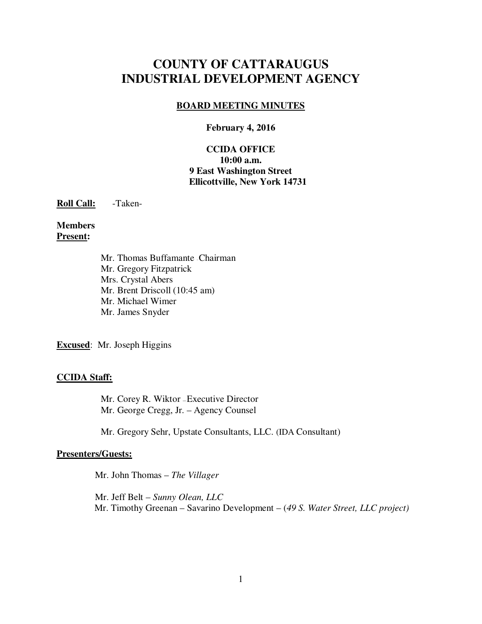# **COUNTY OF CATTARAUGUS INDUSTRIAL DEVELOPMENT AGENCY**

### **BOARD MEETING MINUTES**

#### **February 4, 2016**

#### **CCIDA OFFICE 10:00 a.m. 9 East Washington Street Ellicottville, New York 14731**

**Roll Call:** -Taken-

**Members Present:** 

> Mr. Thomas Buffamante - Chairman Mr. Gregory Fitzpatrick Mrs. Crystal Abers Mr. Brent Driscoll (10:45 am) Mr. Michael Wimer Mr. James Snyder

**Excused**: Mr. Joseph Higgins

#### **CCIDA Staff:**

Mr. Corey R. Wiktor - Executive Director Mr. George Cregg, Jr. – Agency Counsel

Mr. Gregory Sehr, Upstate Consultants, LLC. (IDA Consultant)

#### **Presenters/Guests:**

Mr. John Thomas – *The Villager* 

Mr. Jeff Belt – *Sunny Olean, LLC* Mr. Timothy Greenan – Savarino Development – (*49 S. Water Street, LLC project)*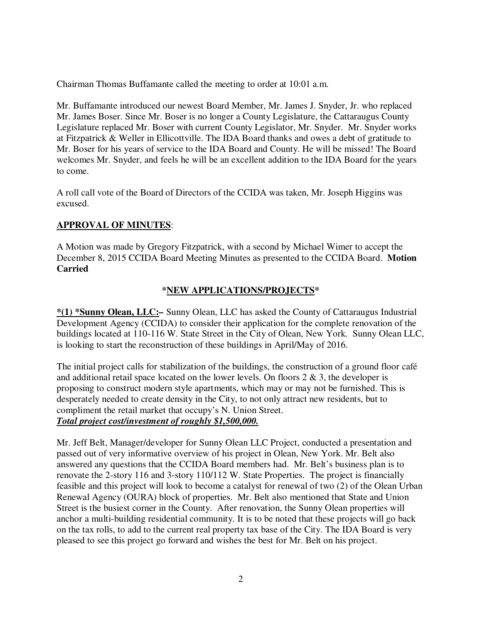Chairman Thomas Buffamante called the meeting to order at 10:01 a.m.

Mr. Buffamante introduced our newest Board Member, Mr. James J. Snyder, Jr. who replaced Mr. James Boser. Since Mr. Boser is no longer a County Legislature, the Cattaraugus County Legislature replaced Mr. Boser with current County Legislator, Mr. Snyder. Mr. Snyder works at Fitzpatrick & Weller in Ellicottville. The IDA Board thanks and owes a debt of gratitude to Mr. Boser for his years of service to the IDA Board and County. He will be missed! The Board welcomes Mr. Snyder, and feels he will be an excellent addition to the IDA Board for the years to come.

A roll call vote of the Board of Directors of the CCIDA was taken, Mr. Joseph Higgins was excused.

# **APPROVAL OF MINUTES**:

A Motion was made by Gregory Fitzpatrick, with a second by Michael Wimer to accept the December 8, 2015 CCIDA Board Meeting Minutes as presented to the CCIDA Board. **Motion Carried** 

# **\*NEW APPLICATIONS/PROJECTS\***

**\*(1) \*Sunny Olean, LLC:***–* Sunny Olean, LLC has asked the County of Cattaraugus Industrial Development Agency (CCIDA) to consider their application for the complete renovation of the buildings located at 110-116 W. State Street in the City of Olean, New York. Sunny Olean LLC, is looking to start the reconstruction of these buildings in April/May of 2016.

The initial project calls for stabilization of the buildings, the construction of a ground floor café and additional retail space located on the lower levels. On floors  $2 \& 3$ , the developer is proposing to construct modern style apartments, which may or may not be furnished. This is desperately needed to create density in the City, to not only attract new residents, but to compliment the retail market that occupy's N. Union Street. *Total project cost/investment of roughly \$1,500,000.*

Mr. Jeff Belt, Manager/developer for Sunny Olean LLC Project, conducted a presentation and passed out of very informative overview of his project in Olean, New York. Mr. Belt also answered any questions that the CCIDA Board members had. Mr. Belt's business plan is to renovate the 2-story 116 and 3-story 110/112 W. State Properties. The project is financially feasible and this project will look to become a catalyst for renewal of two (2) of the Olean Urban Renewal Agency (OURA) block of properties. Mr. Belt also mentioned that State and Union Street is the busiest corner in the County. After renovation, the Sunny Olean properties will anchor a multi-building residential community. It is to be noted that these projects will go back on the tax rolls, to add to the current real property tax base of the City. The IDA Board is very pleased to see this project go forward and wishes the best for Mr. Belt on his project.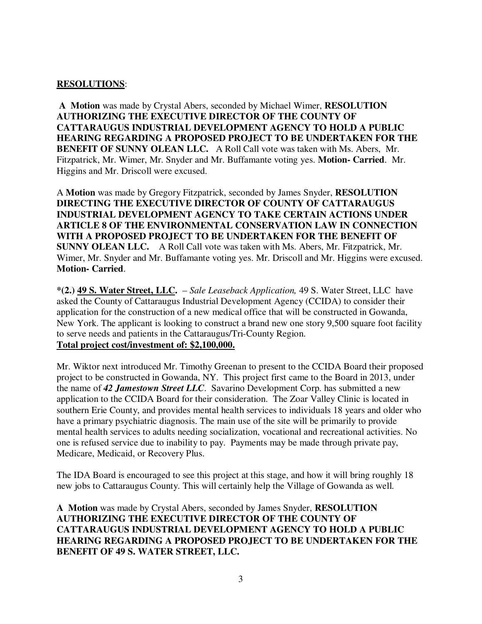### **RESOLUTIONS**:

**A Motion** was made by Crystal Abers, seconded by Michael Wimer, **RESOLUTION AUTHORIZING THE EXECUTIVE DIRECTOR OF THE COUNTY OF CATTARAUGUS INDUSTRIAL DEVELOPMENT AGENCY TO HOLD A PUBLIC HEARING REGARDING A PROPOSED PROJECT TO BE UNDERTAKEN FOR THE BENEFIT OF SUNNY OLEAN LLC.** A Roll Call vote was taken with Ms. Abers, Mr. Fitzpatrick, Mr. Wimer, Mr. Snyder and Mr. Buffamante voting yes. **Motion- Carried**. Mr. Higgins and Mr. Driscoll were excused.

A **Motion** was made by Gregory Fitzpatrick, seconded by James Snyder, **RESOLUTION DIRECTING THE EXECUTIVE DIRECTOR OF COUNTY OF CATTARAUGUS INDUSTRIAL DEVELOPMENT AGENCY TO TAKE CERTAIN ACTIONS UNDER ARTICLE 8 OF THE ENVIRONMENTAL CONSERVATION LAW IN CONNECTION WITH A PROPOSED PROJECT TO BE UNDERTAKEN FOR THE BENEFIT OF SUNNY OLEAN LLC.** A Roll Call vote was taken with Ms. Abers, Mr. Fitzpatrick, Mr. Wimer, Mr. Snyder and Mr. Buffamante voting yes. Mr. Driscoll and Mr. Higgins were excused. **Motion- Carried**.

**\*(2.) 49 S. Water Street, LLC.** – *Sale Leaseback Application,* 49 S. Water Street, LLC have asked the County of Cattaraugus Industrial Development Agency (CCIDA) to consider their application for the construction of a new medical office that will be constructed in Gowanda, New York. The applicant is looking to construct a brand new one story 9,500 square foot facility to serve needs and patients in the Cattaraugus/Tri-County Region. **Total project cost/investment of: \$2,100,000.**

Mr. Wiktor next introduced Mr. Timothy Greenan to present to the CCIDA Board their proposed project to be constructed in Gowanda, NY. This project first came to the Board in 2013, under the name of *42 Jamestown Street LLC*. Savarino Development Corp. has submitted a new application to the CCIDA Board for their consideration. The Zoar Valley Clinic is located in southern Erie County, and provides mental health services to individuals 18 years and older who have a primary psychiatric diagnosis. The main use of the site will be primarily to provide mental health services to adults needing socialization, vocational and recreational activities. No one is refused service due to inability to pay. Payments may be made through private pay, Medicare, Medicaid, or Recovery Plus.

The IDA Board is encouraged to see this project at this stage, and how it will bring roughly 18 new jobs to Cattaraugus County. This will certainly help the Village of Gowanda as well.

**A Motion** was made by Crystal Abers, seconded by James Snyder, **RESOLUTION AUTHORIZING THE EXECUTIVE DIRECTOR OF THE COUNTY OF CATTARAUGUS INDUSTRIAL DEVELOPMENT AGENCY TO HOLD A PUBLIC HEARING REGARDING A PROPOSED PROJECT TO BE UNDERTAKEN FOR THE BENEFIT OF 49 S. WATER STREET, LLC.**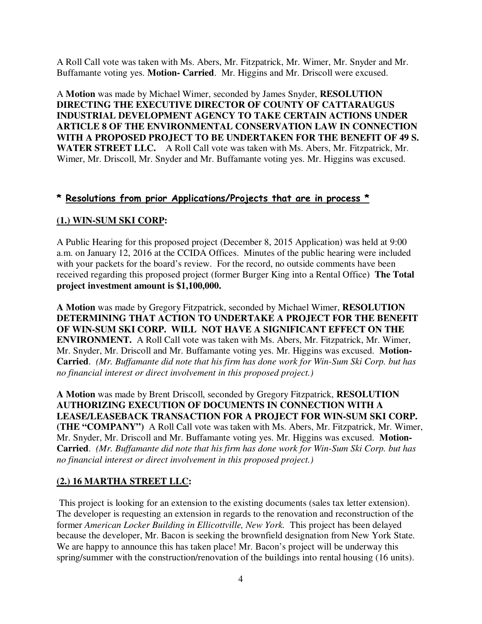A Roll Call vote was taken with Ms. Abers, Mr. Fitzpatrick, Mr. Wimer, Mr. Snyder and Mr. Buffamante voting yes. **Motion- Carried**. Mr. Higgins and Mr. Driscoll were excused.

A **Motion** was made by Michael Wimer, seconded by James Snyder, **RESOLUTION DIRECTING THE EXECUTIVE DIRECTOR OF COUNTY OF CATTARAUGUS INDUSTRIAL DEVELOPMENT AGENCY TO TAKE CERTAIN ACTIONS UNDER ARTICLE 8 OF THE ENVIRONMENTAL CONSERVATION LAW IN CONNECTION WITH A PROPOSED PROJECT TO BE UNDERTAKEN FOR THE BENEFIT OF 49 S. WATER STREET LLC.** A Roll Call vote was taken with Ms. Abers, Mr. Fitzpatrick, Mr. Wimer, Mr. Driscoll, Mr. Snyder and Mr. Buffamante voting yes. Mr. Higgins was excused.

# **\* Resolutions from prior Applications/Projects that are in process \***

# **(1.) WIN-SUM SKI CORP:**

A Public Hearing for this proposed project (December 8, 2015 Application) was held at 9:00 a.m. on January 12, 2016 at the CCIDA Offices. Minutes of the public hearing were included with your packets for the board's review. For the record, no outside comments have been received regarding this proposed project (former Burger King into a Rental Office) **The Total project investment amount is \$1,100,000.** 

**A Motion** was made by Gregory Fitzpatrick, seconded by Michael Wimer, **RESOLUTION DETERMINING THAT ACTION TO UNDERTAKE A PROJECT FOR THE BENEFIT OF WIN-SUM SKI CORP. WILL NOT HAVE A SIGNIFICANT EFFECT ON THE ENVIRONMENT.** A Roll Call vote was taken with Ms. Abers, Mr. Fitzpatrick, Mr. Wimer, Mr. Snyder, Mr. Driscoll and Mr. Buffamante voting yes. Mr. Higgins was excused. **Motion-Carried**. *(Mr. Buffamante did note that his firm has done work for Win-Sum Ski Corp. but has no financial interest or direct involvement in this proposed project.)*

**A Motion** was made by Brent Driscoll, seconded by Gregory Fitzpatrick, **RESOLUTION AUTHORIZING EXECUTION OF DOCUMENTS IN CONNECTION WITH A LEASE/LEASEBACK TRANSACTION FOR A PROJECT FOR WIN-SUM SKI CORP. (THE "COMPANY")** A Roll Call vote was taken with Ms. Abers, Mr. Fitzpatrick, Mr. Wimer, Mr. Snyder, Mr. Driscoll and Mr. Buffamante voting yes. Mr. Higgins was excused. **Motion-Carried**. *(Mr. Buffamante did note that his firm has done work for Win-Sum Ski Corp. but has no financial interest or direct involvement in this proposed project.)*

# **(2.) 16 MARTHA STREET LLC:**

This project is looking for an extension to the existing documents (sales tax letter extension). The developer is requesting an extension in regards to the renovation and reconstruction of the former *American Locker Building in Ellicottville, New York.* This project has been delayed because the developer, Mr. Bacon is seeking the brownfield designation from New York State. We are happy to announce this has taken place! Mr. Bacon's project will be underway this spring/summer with the construction/renovation of the buildings into rental housing (16 units).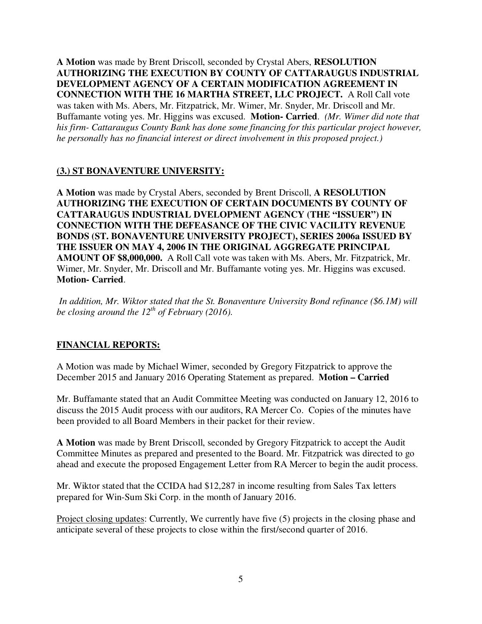**A Motion** was made by Brent Driscoll, seconded by Crystal Abers, **RESOLUTION AUTHORIZING THE EXECUTION BY COUNTY OF CATTARAUGUS INDUSTRIAL DEVELOPMENT AGENCY OF A CERTAIN MODIFICATION AGREEMENT IN CONNECTION WITH THE 16 MARTHA STREET, LLC PROJECT.** A Roll Call vote was taken with Ms. Abers, Mr. Fitzpatrick, Mr. Wimer, Mr. Snyder, Mr. Driscoll and Mr. Buffamante voting yes. Mr. Higgins was excused. **Motion- Carried**. *(Mr. Wimer did note that his firm- Cattaraugus County Bank has done some financing for this particular project however, he personally has no financial interest or direct involvement in this proposed project.)* 

### **(3.) ST BONAVENTURE UNIVERSITY:**

**A Motion** was made by Crystal Abers, seconded by Brent Driscoll, **A RESOLUTION AUTHORIZING THE EXECUTION OF CERTAIN DOCUMENTS BY COUNTY OF CATTARAUGUS INDUSTRIAL DVELOPMENT AGENCY (THE "ISSUER") IN CONNECTION WITH THE DEFEASANCE OF THE CIVIC VACILITY REVENUE BONDS (ST. BONAVENTURE UNIVERSITY PROJECT), SERIES 2006a ISSUED BY THE ISSUER ON MAY 4, 2006 IN THE ORIGINAL AGGREGATE PRINCIPAL AMOUNT OF \$8,000,000.** A Roll Call vote was taken with Ms. Abers, Mr. Fitzpatrick, Mr. Wimer, Mr. Snyder, Mr. Driscoll and Mr. Buffamante voting yes. Mr. Higgins was excused. **Motion- Carried**.

*In addition, Mr. Wiktor stated that the St. Bonaventure University Bond refinance (\$6.1M) will be closing around the 12th of February (2016).* 

# **FINANCIAL REPORTS:**

A Motion was made by Michael Wimer, seconded by Gregory Fitzpatrick to approve the December 2015 and January 2016 Operating Statement as prepared. **Motion – Carried** 

Mr. Buffamante stated that an Audit Committee Meeting was conducted on January 12, 2016 to discuss the 2015 Audit process with our auditors, RA Mercer Co. Copies of the minutes have been provided to all Board Members in their packet for their review.

**A Motion** was made by Brent Driscoll, seconded by Gregory Fitzpatrick to accept the Audit Committee Minutes as prepared and presented to the Board. Mr. Fitzpatrick was directed to go ahead and execute the proposed Engagement Letter from RA Mercer to begin the audit process.

Mr. Wiktor stated that the CCIDA had \$12,287 in income resulting from Sales Tax letters prepared for Win-Sum Ski Corp. in the month of January 2016.

Project closing updates: Currently, We currently have five (5) projects in the closing phase and anticipate several of these projects to close within the first/second quarter of 2016.